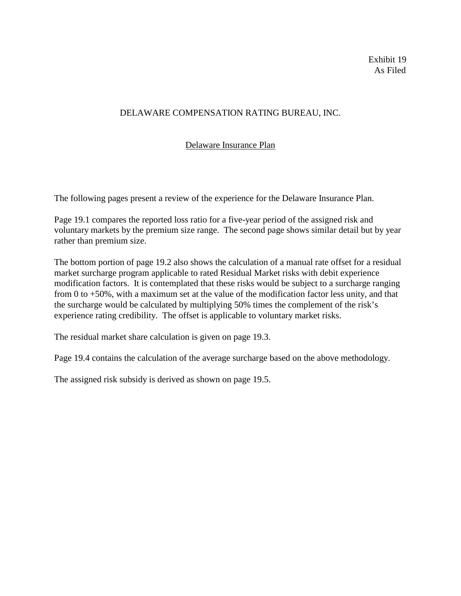Exhibit 19 As Filed

## DELAWARE COMPENSATION RATING BUREAU, INC.

# Delaware Insurance Plan

The following pages present a review of the experience for the Delaware Insurance Plan.

Page 19.1 compares the reported loss ratio for a five-year period of the assigned risk and voluntary markets by the premium size range. The second page shows similar detail but by year rather than premium size.

The bottom portion of page 19.2 also shows the calculation of a manual rate offset for a residual market surcharge program applicable to rated Residual Market risks with debit experience modification factors. It is contemplated that these risks would be subject to a surcharge ranging from 0 to +50%, with a maximum set at the value of the modification factor less unity, and that the surcharge would be calculated by multiplying 50% times the complement of the risk's experience rating credibility. The offset is applicable to voluntary market risks.

The residual market share calculation is given on page 19.3.

Page 19.4 contains the calculation of the average surcharge based on the above methodology.

The assigned risk subsidy is derived as shown on page 19.5.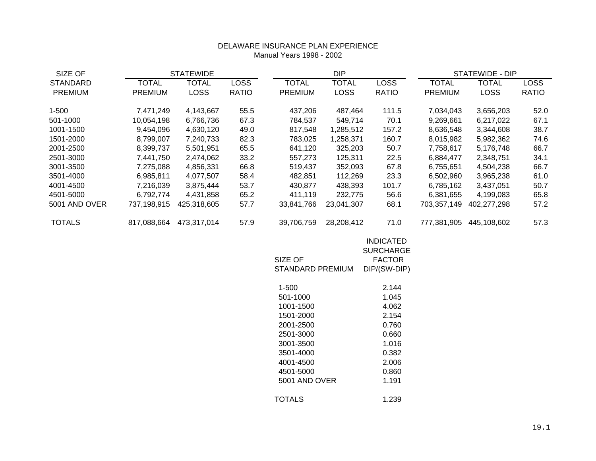### DELAWARE INSURANCE PLAN EXPERIENCE Manual Years 1998 - 2002

| SIZE OF         | <b>STATEWIDE</b> |              | <b>DIP</b>  |                             |             | STATEWIDE - DIP                                                       |                |             |              |
|-----------------|------------------|--------------|-------------|-----------------------------|-------------|-----------------------------------------------------------------------|----------------|-------------|--------------|
| <b>STANDARD</b> | TOTAL            | <b>TOTAL</b> | <b>LOSS</b> | <b>TOTAL</b>                | TOTAL       | <b>LOSS</b>                                                           | <b>TOTAL</b>   | TOTAL       | <b>LOSS</b>  |
| <b>PREMIUM</b>  | <b>PREMIUM</b>   | <b>LOSS</b>  | RATIO       | <b>PREMIUM</b>              | <b>LOSS</b> | <b>RATIO</b>                                                          | <b>PREMIUM</b> | <b>LOSS</b> | <b>RATIO</b> |
| $1 - 500$       | 7,471,249        | 4,143,667    | 55.5        | 437,206                     | 487,464     | 111.5                                                                 | 7,034,043      | 3,656,203   | 52.0         |
| 501-1000        | 10,054,198       | 6,766,736    | 67.3        | 784,537                     | 549,714     | 70.1                                                                  | 9,269,661      | 6,217,022   | 67.1         |
| 1001-1500       | 9,454,096        | 4,630,120    | 49.0        | 817,548                     | 1,285,512   | 157.2                                                                 | 8,636,548      | 3,344,608   | 38.7         |
| 1501-2000       | 8,799,007        | 7,240,733    | 82.3        | 783,025                     | 1,258,371   | 160.7                                                                 | 8,015,982      | 5,982,362   | 74.6         |
| 2001-2500       | 8,399,737        | 5,501,951    | 65.5        | 641,120                     | 325,203     | 50.7                                                                  | 7,758,617      | 5,176,748   | 66.7         |
| 2501-3000       | 7,441,750        | 2,474,062    | 33.2        | 557,273                     | 125,311     | 22.5                                                                  | 6,884,477      | 2,348,751   | 34.1         |
| 3001-3500       | 7,275,088        | 4,856,331    | 66.8        | 519,437                     | 352,093     | 67.8                                                                  | 6,755,651      | 4,504,238   | 66.7         |
| 3501-4000       | 6,985,811        | 4,077,507    | 58.4        | 482,851                     | 112,269     | 23.3                                                                  | 6,502,960      | 3,965,238   | 61.0         |
| 4001-4500       | 7,216,039        | 3,875,444    | 53.7        | 430,877                     | 438,393     | 101.7                                                                 | 6,785,162      | 3,437,051   | 50.7         |
| 4501-5000       | 6,792,774        | 4,431,858    | 65.2        | 411,119                     | 232,775     | 56.6                                                                  | 6,381,655      | 4,199,083   | 65.8         |
| 5001 AND OVER   | 737,198,915      | 425,318,605  | 57.7        | 33,841,766                  | 23,041,307  | 68.1                                                                  | 703,357,149    | 402,277,298 | 57.2         |
| <b>TOTALS</b>   | 817,088,664      | 473,317,014  | 57.9        | 39,706,759                  | 28,208,412  | 71.0                                                                  | 777,381,905    | 445,108,602 | 57.3         |
|                 |                  |              |             | SIZE OF<br>STANDARD PREMIUM |             | <b>INDICATED</b><br><b>SURCHARGE</b><br><b>FACTOR</b><br>DIP/(SW-DIP) |                |             |              |

| 1-500         | 2 144 |
|---------------|-------|
| 501-1000      | 1.045 |
| 1001-1500     | 4.062 |
| 1501-2000     | 2.154 |
| 2001-2500     | 0.760 |
| 2501-3000     | 0.660 |
| 3001-3500     | 1.016 |
| 3501-4000     | 0.382 |
| 4001-4500     | 2.006 |
| 4501-5000     | 0.860 |
| 5001 AND OVER | 1.191 |
| TOTALS        | 1.239 |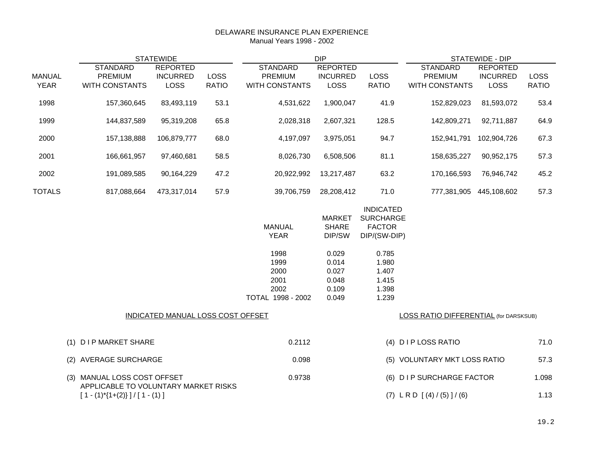#### DELAWARE INSURANCE PLAN EXPERIENCE Manual Years 1998 - 2002

| <b>STATEWIDE</b>             |                                                                                                       |                                            | <b>DIP</b>                  |                                                            |                                                    | <b>STATEWIDE - DIP</b>                                                |                                                       |                                            |                      |
|------------------------------|-------------------------------------------------------------------------------------------------------|--------------------------------------------|-----------------------------|------------------------------------------------------------|----------------------------------------------------|-----------------------------------------------------------------------|-------------------------------------------------------|--------------------------------------------|----------------------|
| <b>MANUAL</b><br><b>YEAR</b> | <b>STANDARD</b><br>PREMIUM<br><b>WITH CONSTANTS</b>                                                   | <b>REPORTED</b><br><b>INCURRED</b><br>LOSS | <b>LOSS</b><br><b>RATIO</b> | <b>STANDARD</b><br><b>PREMIUM</b><br><b>WITH CONSTANTS</b> | <b>REPORTED</b><br><b>INCURRED</b><br><b>LOSS</b>  | <b>LOSS</b><br><b>RATIO</b>                                           | <b>STANDARD</b><br>PREMIUM<br><b>WITH CONSTANTS</b>   | <b>REPORTED</b><br><b>INCURRED</b><br>LOSS | LOSS<br><b>RATIO</b> |
| 1998                         | 157,360,645                                                                                           | 83,493,119                                 | 53.1                        | 4,531,622                                                  | 1,900,047                                          | 41.9                                                                  | 152,829,023                                           | 81,593,072                                 | 53.4                 |
| 1999                         | 144,837,589                                                                                           | 95,319,208                                 | 65.8                        | 2,028,318                                                  | 2,607,321                                          | 128.5                                                                 | 142,809,271                                           | 92,711,887                                 | 64.9                 |
| 2000                         | 157,138,888                                                                                           | 106,879,777                                | 68.0                        | 4,197,097                                                  | 3,975,051                                          | 94.7                                                                  | 152,941,791                                           | 102,904,726                                | 67.3                 |
| 2001                         | 166,661,957                                                                                           | 97,460,681                                 | 58.5                        | 8,026,730                                                  | 6,508,506                                          | 81.1                                                                  | 158,635,227                                           | 90,952,175                                 | 57.3                 |
| 2002                         | 191,089,585                                                                                           | 90,164,229                                 | 47.2                        | 20,922,992                                                 | 13,217,487                                         | 63.2                                                                  | 170,166,593                                           | 76,946,742                                 | 45.2                 |
| <b>TOTALS</b>                | 817,088,664                                                                                           | 473,317,014                                | 57.9                        | 39,706,759                                                 | 28,208,412                                         | 71.0                                                                  | 777,381,905 445,108,602                               |                                            | 57.3                 |
|                              |                                                                                                       |                                            |                             | <b>MANUAL</b><br><b>YEAR</b>                               | <b>MARKET</b><br><b>SHARE</b><br>DIP/SW            | <b>INDICATED</b><br><b>SURCHARGE</b><br><b>FACTOR</b><br>DIP/(SW-DIP) |                                                       |                                            |                      |
|                              |                                                                                                       |                                            |                             | 1998<br>1999<br>2000<br>2001<br>2002<br>TOTAL 1998 - 2002  | 0.029<br>0.014<br>0.027<br>0.048<br>0.109<br>0.049 | 0.785<br>1.980<br>1.407<br>1.415<br>1.398<br>1.239                    |                                                       |                                            |                      |
|                              |                                                                                                       | INDICATED MANUAL LOSS COST OFFSET          |                             |                                                            |                                                    |                                                                       | LOSS RATIO DIFFERENTIAL (for DARSKSUB)                |                                            |                      |
|                              | (1)<br><b>DIP MARKET SHARE</b>                                                                        |                                            |                             | 0.2112                                                     |                                                    |                                                                       | (4) DIPLOSS RATIO                                     |                                            | 71.0                 |
|                              | (2)<br>AVERAGE SURCHARGE                                                                              |                                            |                             | 0.098                                                      |                                                    |                                                                       | (5) VOLUNTARY MKT LOSS RATIO                          |                                            | 57.3                 |
|                              | (3) MANUAL LOSS COST OFFSET<br>APPLICABLE TO VOLUNTARY MARKET RISKS<br>$[1 - (1)^*[1+(2)]]/[1 - (1)]$ |                                            |                             | 0.9738                                                     |                                                    |                                                                       | (6) DIP SURCHARGE FACTOR<br>$(7)$ LRD $[(4)/(5)]/(6)$ |                                            | 1.098<br>1.13        |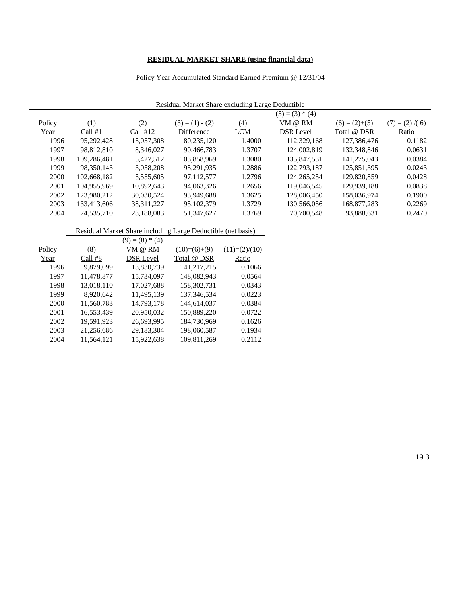# **RESIDUAL MARKET SHARE (using financial data)**

### Policy Year Accumulated Standard Earned Premium @ 12/31/04

| Residual Market Share excluding Large Deductible |             |                   |                                                              |                  |                   |                 |                   |
|--------------------------------------------------|-------------|-------------------|--------------------------------------------------------------|------------------|-------------------|-----------------|-------------------|
|                                                  |             |                   |                                                              |                  | $(5) = (3) * (4)$ |                 |                   |
| Policy                                           | (1)         | (2)               | $(3) = (1) - (2)$                                            | (4)              | VM @ RM           | $(6) = (2)+(5)$ | $(7) = (2) / (6)$ |
| Year                                             | Call $#1$   | Call $#12$        | Difference                                                   | <b>LCM</b>       | <b>DSR Level</b>  | Total @ DSR     | Ratio             |
| 1996                                             | 95,292,428  | 15,057,308        | 80,235,120                                                   | 1.4000           | 112,329,168       | 127,386,476     | 0.1182            |
| 1997                                             | 98,812,810  | 8,346,027         | 90,466,783                                                   | 1.3707           | 124,002,819       | 132,348,846     | 0.0631            |
| 1998                                             | 109,286,481 | 5,427,512         | 103,858,969                                                  | 1.3080           | 135,847,531       | 141,275,043     | 0.0384            |
| 1999                                             | 98,350,143  | 3,058,208         | 95,291,935                                                   | 1.2886           | 122,793,187       | 125,851,395     | 0.0243            |
| 2000                                             | 102,668,182 | 5,555,605         | 97,112,577                                                   | 1.2796           | 124, 265, 254     | 129,820,859     | 0.0428            |
| 2001                                             | 104.955.969 | 10,892,643        | 94,063,326                                                   | 1.2656           | 119,046,545       | 129,939,188     | 0.0838            |
| 2002                                             | 123,980,212 | 30,030,524        | 93,949,688                                                   | 1.3625           | 128,006,450       | 158,036,974     | 0.1900            |
| 2003                                             | 133,413,606 | 38, 311, 227      | 95,102,379                                                   | 1.3729           | 130,566,056       | 168,877,283     | 0.2269            |
| 2004                                             | 74,535,710  | 23,188,083        | 51,347,627                                                   | 1.3769           | 70,700,548        | 93,888,631      | 0.2470            |
|                                                  |             |                   |                                                              |                  |                   |                 |                   |
|                                                  |             |                   | Residual Market Share including Large Deductible (net basis) |                  |                   |                 |                   |
|                                                  |             | $(9) = (8) * (4)$ |                                                              |                  |                   |                 |                   |
| Policy                                           | (8)         | VM @ RM           | $(10)= (6)+(9)$                                              | $(11)= (2)/(10)$ |                   |                 |                   |
| Year                                             | Call #8     | <b>DSR Level</b>  | Total @ DSR                                                  | Ratio            |                   |                 |                   |
| 1996                                             | 9,879,099   | 13,830,739        | 141,217,215                                                  | 0.1066           |                   |                 |                   |
| 1997                                             | 11,478,877  | 15,734,097        | 148,082,943                                                  | 0.0564           |                   |                 |                   |
| 1998                                             | 13,018,110  | 17,027,688        | 158,302,731                                                  | 0.0343           |                   |                 |                   |
| 1999                                             | 8,920,642   | 11,495,139        | 137, 346, 534                                                | 0.0223           |                   |                 |                   |
| 2000                                             | 11,560,783  | 14,793,178        | 144,614,037                                                  | 0.0384           |                   |                 |                   |
| 2001                                             | 16,553,439  | 20,950,032        | 150,889,220                                                  | 0.0722           |                   |                 |                   |
| 2002                                             | 19,591,923  | 26,693,995        | 184,730,969                                                  | 0.1626           |                   |                 |                   |
| 2003                                             | 21,256,686  | 29,183,304        | 198,060,587                                                  | 0.1934           |                   |                 |                   |
| 2004                                             | 11.564.121  | 15.922.638        | 109.811.269                                                  | 0.2112           |                   |                 |                   |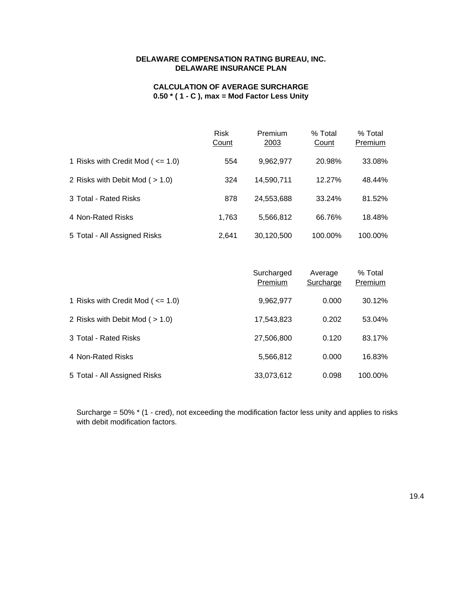## **DELAWARE COMPENSATION RATING BUREAU, INC. DELAWARE INSURANCE PLAN**

## **CALCULATION OF AVERAGE SURCHARGE 0.50 \* ( 1 - C ), max = Mod Factor Less Unity**

|                                         | <b>Risk</b><br>Count | Premium<br>2003 | % Total<br>Count | % Total<br>Premium |
|-----------------------------------------|----------------------|-----------------|------------------|--------------------|
| 1 Risks with Credit Mod ( $\leq$ = 1.0) | 554                  | 9,962,977       | 20.98%           | 33.08%             |
| 2 Risks with Debit Mod $($ > 1.0)       | 324                  | 14,590,711      | 12.27%           | 48.44%             |
| 3 Total - Rated Risks                   | 878                  | 24,553,688      | 33.24%           | 81.52%             |
| 4 Non-Rated Risks                       | 1.763                | 5,566,812       | 66.76%           | 18.48%             |
| 5 Total - All Assigned Risks            | 2.641                | 30.120.500      | 100.00%          | 100.00%            |

|                                       | Surcharged<br>Premium | Average<br>Surcharge | % Total<br>Premium |
|---------------------------------------|-----------------------|----------------------|--------------------|
| 1 Risks with Credit Mod ( $\leq$ 1.0) | 9,962,977             | 0.000                | 30.12%             |
| 2 Risks with Debit Mod $($ > 1.0)     | 17,543,823            | 0.202                | 53.04%             |
| 3 Total - Rated Risks                 | 27,506,800            | 0.120                | 83.17%             |
| 4 Non-Rated Risks                     | 5,566,812             | 0.000                | 16.83%             |
| 5 Total - All Assigned Risks          | 33,073,612            | 0.098                | 100.00%            |

Surcharge = 50% \* (1 - cred), not exceeding the modification factor less unity and applies to risks with debit modification factors.